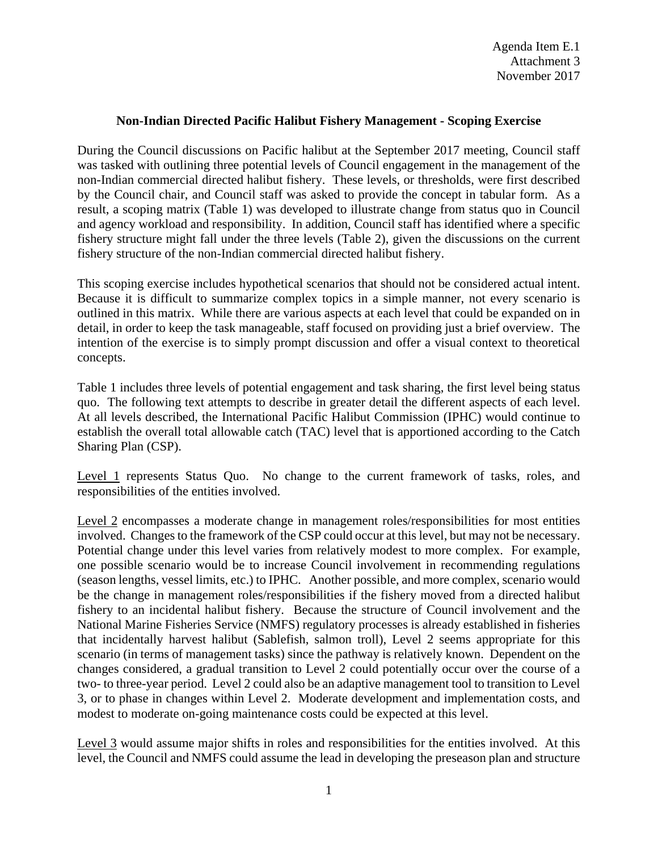## **Non-Indian Directed Pacific Halibut Fishery Management - Scoping Exercise**

During the Council discussions on Pacific halibut at the September 2017 meeting, Council staff was tasked with outlining three potential levels of Council engagement in the management of the non-Indian commercial directed halibut fishery. These levels, or thresholds, were first described by the Council chair, and Council staff was asked to provide the concept in tabular form. As a result, a scoping matrix (Table 1) was developed to illustrate change from status quo in Council and agency workload and responsibility. In addition, Council staff has identified where a specific fishery structure might fall under the three levels (Table 2), given the discussions on the current fishery structure of the non-Indian commercial directed halibut fishery.

This scoping exercise includes hypothetical scenarios that should not be considered actual intent. Because it is difficult to summarize complex topics in a simple manner, not every scenario is outlined in this matrix. While there are various aspects at each level that could be expanded on in detail, in order to keep the task manageable, staff focused on providing just a brief overview. The intention of the exercise is to simply prompt discussion and offer a visual context to theoretical concepts.

Table 1 includes three levels of potential engagement and task sharing, the first level being status quo. The following text attempts to describe in greater detail the different aspects of each level. At all levels described, the International Pacific Halibut Commission (IPHC) would continue to establish the overall total allowable catch (TAC) level that is apportioned according to the Catch Sharing Plan (CSP).

Level 1 represents Status Quo. No change to the current framework of tasks, roles, and responsibilities of the entities involved.

Level 2 encompasses a moderate change in management roles/responsibilities for most entities involved. Changes to the framework of the CSP could occur at this level, but may not be necessary. Potential change under this level varies from relatively modest to more complex. For example, one possible scenario would be to increase Council involvement in recommending regulations (season lengths, vessel limits, etc.) to IPHC. Another possible, and more complex, scenario would be the change in management roles/responsibilities if the fishery moved from a directed halibut fishery to an incidental halibut fishery. Because the structure of Council involvement and the National Marine Fisheries Service (NMFS) regulatory processes is already established in fisheries that incidentally harvest halibut (Sablefish, salmon troll), Level 2 seems appropriate for this scenario (in terms of management tasks) since the pathway is relatively known. Dependent on the changes considered, a gradual transition to Level 2 could potentially occur over the course of a two- to three-year period. Level 2 could also be an adaptive management tool to transition to Level 3, or to phase in changes within Level 2. Moderate development and implementation costs, and modest to moderate on-going maintenance costs could be expected at this level.

Level 3 would assume major shifts in roles and responsibilities for the entities involved. At this level, the Council and NMFS could assume the lead in developing the preseason plan and structure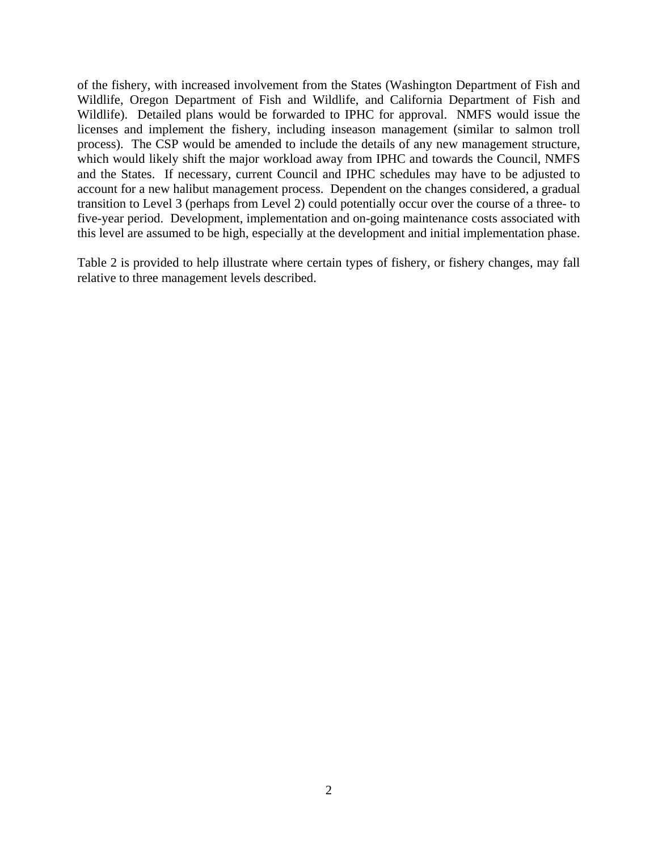of the fishery, with increased involvement from the States (Washington Department of Fish and Wildlife, Oregon Department of Fish and Wildlife, and California Department of Fish and Wildlife). Detailed plans would be forwarded to IPHC for approval. NMFS would issue the licenses and implement the fishery, including inseason management (similar to salmon troll process). The CSP would be amended to include the details of any new management structure, which would likely shift the major workload away from IPHC and towards the Council, NMFS and the States. If necessary, current Council and IPHC schedules may have to be adjusted to account for a new halibut management process. Dependent on the changes considered, a gradual transition to Level 3 (perhaps from Level 2) could potentially occur over the course of a three- to five-year period. Development, implementation and on-going maintenance costs associated with this level are assumed to be high, especially at the development and initial implementation phase.

Table 2 is provided to help illustrate where certain types of fishery, or fishery changes, may fall relative to three management levels described.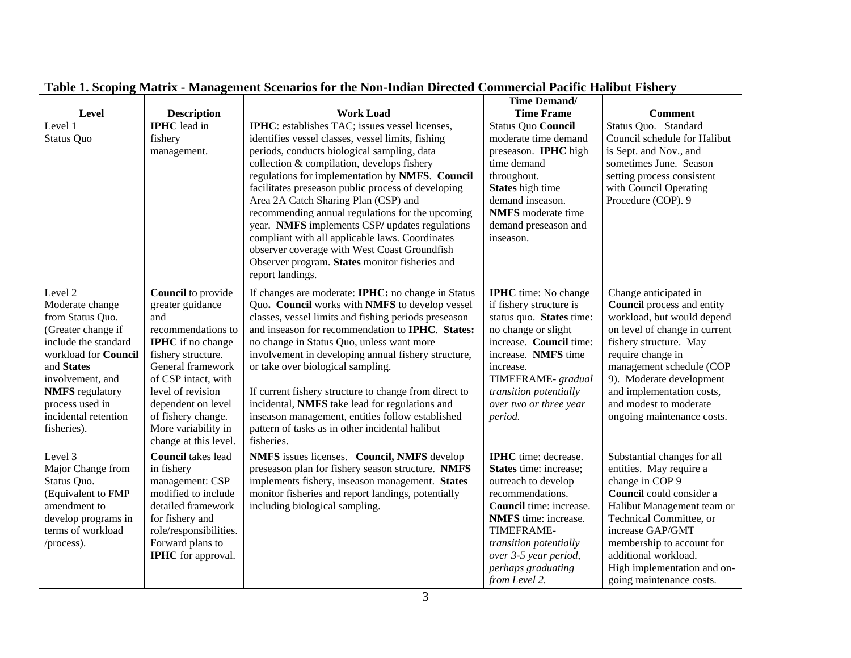|                                                                                                                                                                                                                                                         |                                                                                                                                                                                                                                                                                    |                                                                                                                                                                                                                                                                                                                                                                                                                                                                                                                                                                                                                                          | <b>Time Demand/</b>                                                                                                                                                                                                                                                |                                                                                                                                                                                                                                                                                                                       |
|---------------------------------------------------------------------------------------------------------------------------------------------------------------------------------------------------------------------------------------------------------|------------------------------------------------------------------------------------------------------------------------------------------------------------------------------------------------------------------------------------------------------------------------------------|------------------------------------------------------------------------------------------------------------------------------------------------------------------------------------------------------------------------------------------------------------------------------------------------------------------------------------------------------------------------------------------------------------------------------------------------------------------------------------------------------------------------------------------------------------------------------------------------------------------------------------------|--------------------------------------------------------------------------------------------------------------------------------------------------------------------------------------------------------------------------------------------------------------------|-----------------------------------------------------------------------------------------------------------------------------------------------------------------------------------------------------------------------------------------------------------------------------------------------------------------------|
| Level                                                                                                                                                                                                                                                   | <b>Description</b>                                                                                                                                                                                                                                                                 | <b>Work Load</b>                                                                                                                                                                                                                                                                                                                                                                                                                                                                                                                                                                                                                         | <b>Time Frame</b>                                                                                                                                                                                                                                                  | <b>Comment</b>                                                                                                                                                                                                                                                                                                        |
| Level 1<br><b>Status Quo</b>                                                                                                                                                                                                                            | <b>IPHC</b> lead in<br>fishery<br>management.                                                                                                                                                                                                                                      | <b>IPHC</b> : establishes TAC; issues vessel licenses,<br>identifies vessel classes, vessel limits, fishing<br>periods, conducts biological sampling, data<br>collection & compilation, develops fishery<br>regulations for implementation by NMFS. Council<br>facilitates preseason public process of developing<br>Area 2A Catch Sharing Plan (CSP) and<br>recommending annual regulations for the upcoming<br>year. NMFS implements CSP/ updates regulations<br>compliant with all applicable laws. Coordinates<br>observer coverage with West Coast Groundfish<br>Observer program. States monitor fisheries and<br>report landings. | Status Quo Council<br>moderate time demand<br>preseason. IPHC high<br>time demand<br>throughout.<br>States high time<br>demand inseason.<br><b>NMFS</b> moderate time<br>demand preseason and<br>inseason.                                                         | Status Quo. Standard<br>Council schedule for Halibut<br>is Sept. and Nov., and<br>sometimes June. Season<br>setting process consistent<br>with Council Operating<br>Procedure (COP). 9                                                                                                                                |
| Level $\overline{2}$<br>Moderate change<br>from Status Quo.<br>(Greater change if<br>include the standard<br>workload for Council<br>and States<br>involvement, and<br><b>NMFS</b> regulatory<br>process used in<br>incidental retention<br>fisheries). | Council to provide<br>greater guidance<br>and<br>recommendations to<br><b>IPHC</b> if no change<br>fishery structure.<br>General framework<br>of CSP intact, with<br>level of revision<br>dependent on level<br>of fishery change.<br>More variability in<br>change at this level. | If changes are moderate: IPHC: no change in Status<br>Quo. Council works with NMFS to develop vessel<br>classes, vessel limits and fishing periods preseason<br>and inseason for recommendation to IPHC. States:<br>no change in Status Quo, unless want more<br>involvement in developing annual fishery structure,<br>or take over biological sampling.<br>If current fishery structure to change from direct to<br>incidental, NMFS take lead for regulations and<br>inseason management, entities follow established<br>pattern of tasks as in other incidental halibut<br>fisheries.                                                | <b>IPHC</b> time: No change<br>if fishery structure is<br>status quo. States time:<br>no change or slight<br>increase. Council time:<br>increase. NMFS time<br>increase.<br>TIMEFRAME- gradual<br>transition potentially<br>over two or three year<br>period.      | Change anticipated in<br><b>Council</b> process and entity<br>workload, but would depend<br>on level of change in current<br>fishery structure. May<br>require change in<br>management schedule (COP<br>9). Moderate development<br>and implementation costs,<br>and modest to moderate<br>ongoing maintenance costs. |
| Level 3<br>Major Change from<br>Status Quo.<br>(Equivalent to FMP<br>amendment to<br>develop programs in<br>terms of workload<br>/process).                                                                                                             | <b>Council</b> takes lead<br>in fishery<br>management: CSP<br>modified to include<br>detailed framework<br>for fishery and<br>role/responsibilities.<br>Forward plans to<br><b>IPHC</b> for approval.                                                                              | NMFS issues licenses. Council, NMFS develop<br>preseason plan for fishery season structure. NMFS<br>implements fishery, inseason management. States<br>monitor fisheries and report landings, potentially<br>including biological sampling.                                                                                                                                                                                                                                                                                                                                                                                              | <b>IPHC</b> time: decrease.<br><b>States</b> time: increase;<br>outreach to develop<br>recommendations.<br>Council time: increase.<br>NMFS time: increase.<br>TIMEFRAME-<br>transition potentially<br>over 3-5 year period,<br>perhaps graduating<br>from Level 2. | Substantial changes for all<br>entities. May require a<br>change in COP 9<br>Council could consider a<br>Halibut Management team or<br>Technical Committee, or<br>increase GAP/GMT<br>membership to account for<br>additional workload.<br>High implementation and on-<br>going maintenance costs.                    |

**Table 1. Scoping Matrix - Management Scenarios for the Non-Indian Directed Commercial Pacific Halibut Fishery**